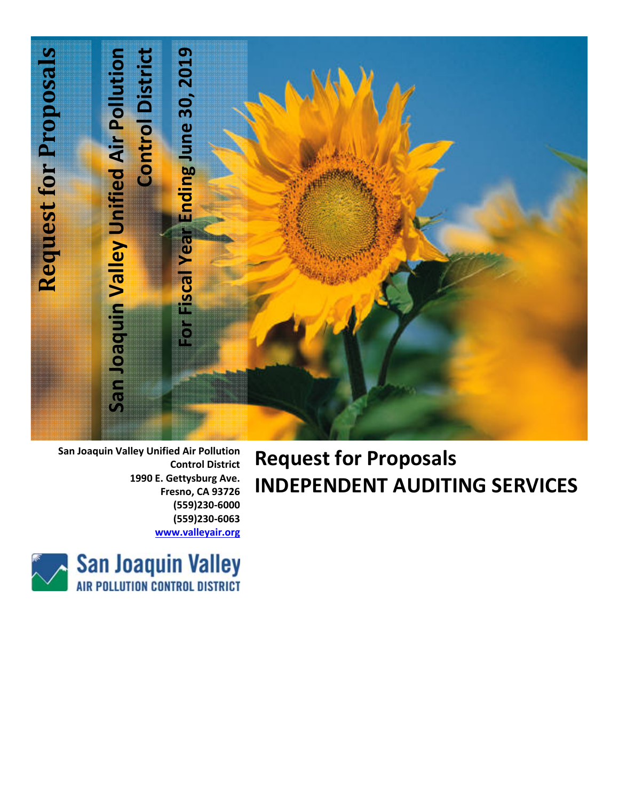

**San Joaquin Valley Unified Air Pollution Control District 1990 E. Gettysburg Ave. Fresno, CA 93726 (559)230‐6000 (559)230‐6063 www.valleyair.org**

# **Request for Proposals INDEPENDENT AUDITING SERVICES**

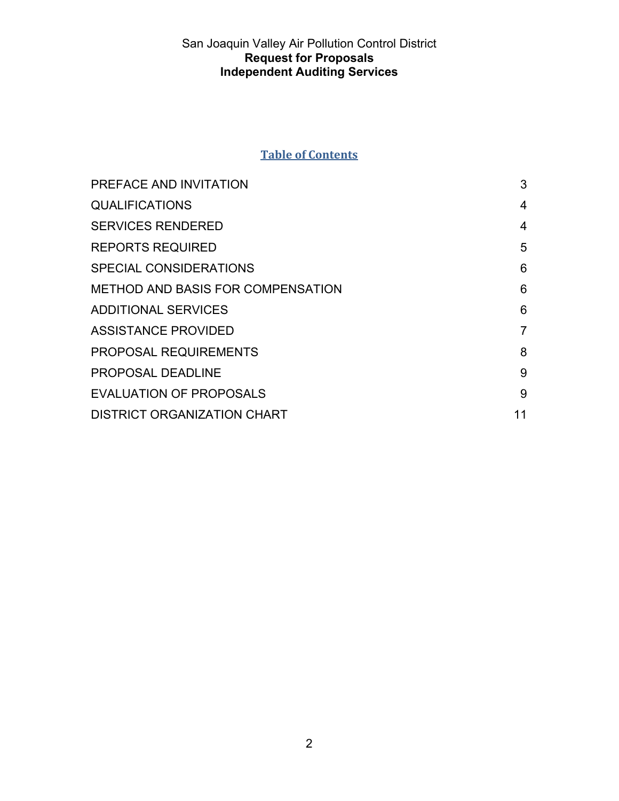## **Table of Contents**

| PREFACE AND INVITATION                   | 3              |
|------------------------------------------|----------------|
| <b>QUALIFICATIONS</b>                    | 4              |
| <b>SERVICES RENDERED</b>                 | 4              |
| <b>REPORTS REQUIRED</b>                  | 5              |
| <b>SPECIAL CONSIDERATIONS</b>            | 6              |
| <b>METHOD AND BASIS FOR COMPENSATION</b> | 6              |
| <b>ADDITIONAL SERVICES</b>               | 6              |
| <b>ASSISTANCE PROVIDED</b>               | $\overline{7}$ |
| <b>PROPOSAL REQUIREMENTS</b>             | 8              |
| <b>PROPOSAL DEADLINE</b>                 | 9              |
| <b>EVALUATION OF PROPOSALS</b>           | 9              |
| <b>DISTRICT ORGANIZATION CHART</b>       | 11             |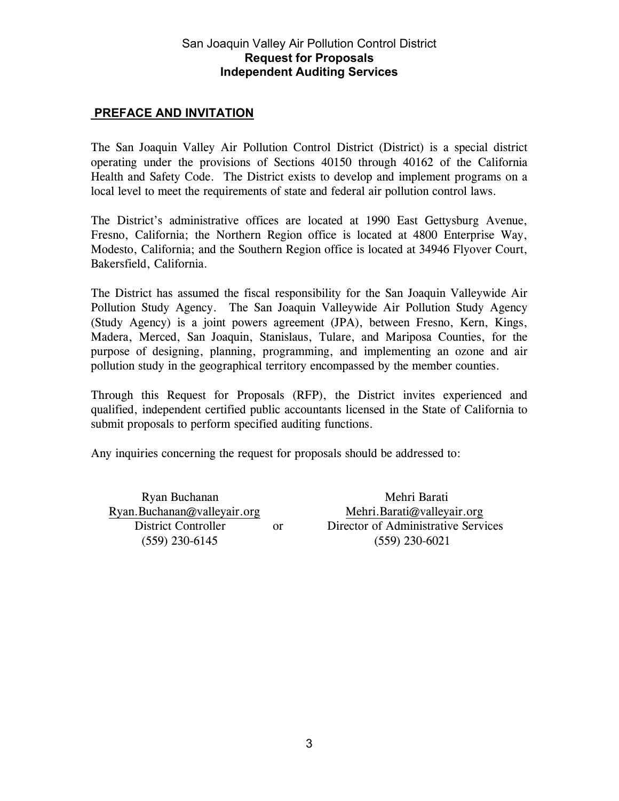#### **PREFACE AND INVITATION**

The San Joaquin Valley Air Pollution Control District (District) is a special district operating under the provisions of Sections 40150 through 40162 of the California Health and Safety Code. The District exists to develop and implement programs on a local level to meet the requirements of state and federal air pollution control laws.

The District's administrative offices are located at 1990 East Gettysburg Avenue, Fresno, California; the Northern Region office is located at 4800 Enterprise Way, Modesto, California; and the Southern Region office is located at 34946 Flyover Court, Bakersfield, California.

The District has assumed the fiscal responsibility for the San Joaquin Valleywide Air Pollution Study Agency. The San Joaquin Valleywide Air Pollution Study Agency (Study Agency) is a joint powers agreement (JPA), between Fresno, Kern, Kings, Madera, Merced, San Joaquin, Stanislaus, Tulare, and Mariposa Counties, for the purpose of designing, planning, programming, and implementing an ozone and air pollution study in the geographical territory encompassed by the member counties.

Through this Request for Proposals (RFP), the District invites experienced and qualified, independent certified public accountants licensed in the State of California to submit proposals to perform specified auditing functions.

Any inquiries concerning the request for proposals should be addressed to:

Ryan Buchanan Mehri Barati Ryan.Buchanan@valleyair.org Mehri.Barati@valleyair.org (559) 230-6145 (559) 230-6021

District Controller or Director of Administrative Services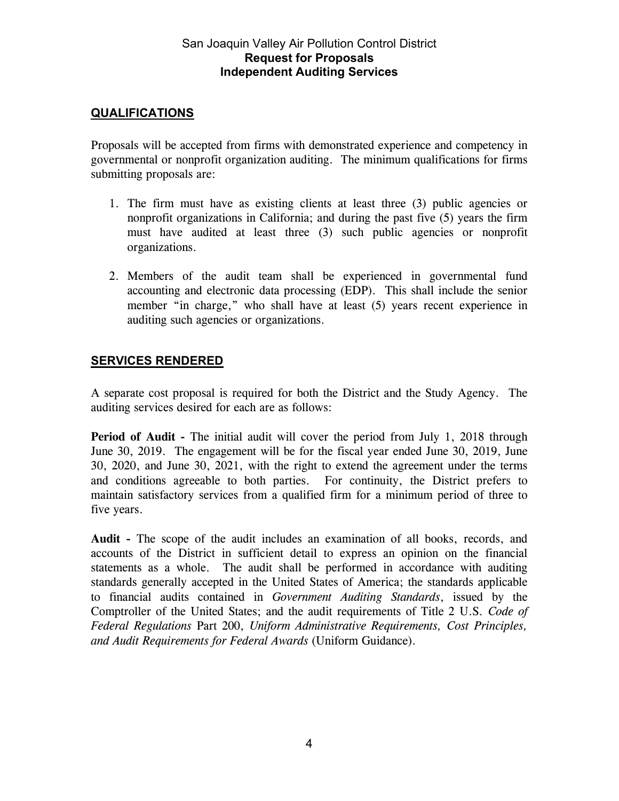### **QUALIFICATIONS**

Proposals will be accepted from firms with demonstrated experience and competency in governmental or nonprofit organization auditing. The minimum qualifications for firms submitting proposals are:

- 1. The firm must have as existing clients at least three (3) public agencies or nonprofit organizations in California; and during the past five (5) years the firm must have audited at least three (3) such public agencies or nonprofit organizations.
- 2. Members of the audit team shall be experienced in governmental fund accounting and electronic data processing (EDP). This shall include the senior member "in charge," who shall have at least (5) years recent experience in auditing such agencies or organizations.

## **SERVICES RENDERED**

A separate cost proposal is required for both the District and the Study Agency. The auditing services desired for each are as follows:

**Period of Audit -** The initial audit will cover the period from July 1, 2018 through June 30, 2019. The engagement will be for the fiscal year ended June 30, 2019, June 30, 2020, and June 30, 2021, with the right to extend the agreement under the terms and conditions agreeable to both parties. For continuity, the District prefers to maintain satisfactory services from a qualified firm for a minimum period of three to five years.

**Audit -** The scope of the audit includes an examination of all books, records, and accounts of the District in sufficient detail to express an opinion on the financial statements as a whole. The audit shall be performed in accordance with auditing standards generally accepted in the United States of America; the standards applicable to financial audits contained in *Government Auditing Standards*, issued by the Comptroller of the United States; and the audit requirements of Title 2 U.S. *Code of Federal Regulations* Part 200, *Uniform Administrative Requirements, Cost Principles, and Audit Requirements for Federal Awards* (Uniform Guidance).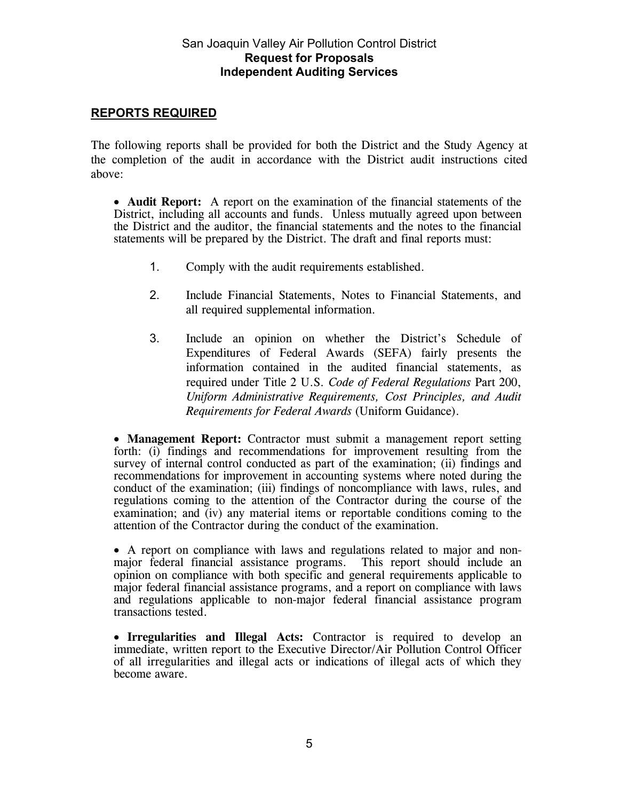#### **REPORTS REQUIRED**

The following reports shall be provided for both the District and the Study Agency at the completion of the audit in accordance with the District audit instructions cited above:

 **Audit Report:** A report on the examination of the financial statements of the District, including all accounts and funds. Unless mutually agreed upon between the District and the auditor, the financial statements and the notes to the financial statements will be prepared by the District. The draft and final reports must:

- 1. Comply with the audit requirements established.
- 2. Include Financial Statements, Notes to Financial Statements, and all required supplemental information.
- 3. Include an opinion on whether the District's Schedule of Expenditures of Federal Awards (SEFA) fairly presents the information contained in the audited financial statements, as required under Title 2 U.S. *Code of Federal Regulations* Part 200, *Uniform Administrative Requirements, Cost Principles, and Audit Requirements for Federal Awards* (Uniform Guidance).

 **Management Report:** Contractor must submit a management report setting forth: (i) findings and recommendations for improvement resulting from the survey of internal control conducted as part of the examination; (ii) findings and recommendations for improvement in accounting systems where noted during the conduct of the examination; (iii) findings of noncompliance with laws, rules, and regulations coming to the attention of the Contractor during the course of the examination; and (iv) any material items or reportable conditions coming to the attention of the Contractor during the conduct of the examination.

 A report on compliance with laws and regulations related to major and nonmajor federal financial assistance programs. This report should include an opinion on compliance with both specific and general requirements applicable to major federal financial assistance programs, and a report on compliance with laws and regulations applicable to non-major federal financial assistance program transactions tested.

 **Irregularities and Illegal Acts:** Contractor is required to develop an immediate, written report to the Executive Director/Air Pollution Control Officer of all irregularities and illegal acts or indications of illegal acts of which they become aware.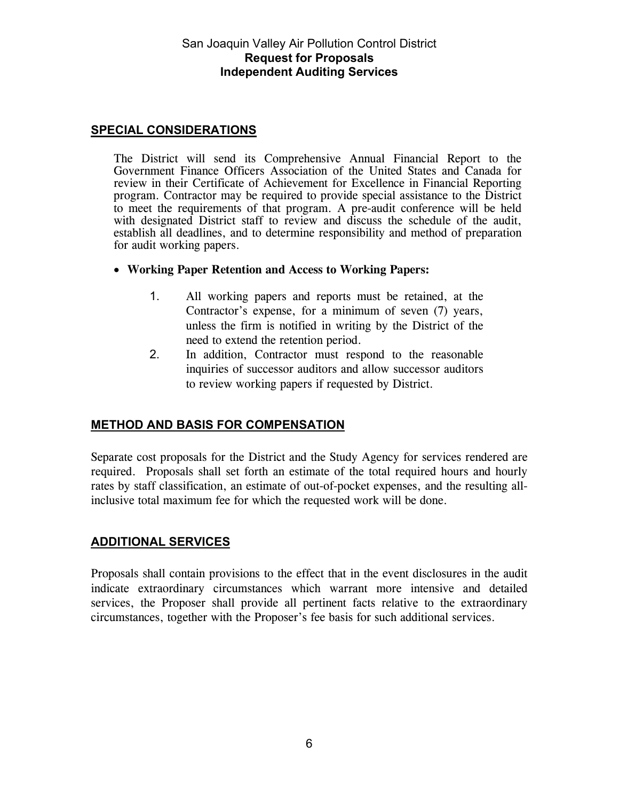#### **SPECIAL CONSIDERATIONS**

The District will send its Comprehensive Annual Financial Report to the Government Finance Officers Association of the United States and Canada for review in their Certificate of Achievement for Excellence in Financial Reporting program. Contractor may be required to provide special assistance to the District to meet the requirements of that program. A pre-audit conference will be held with designated District staff to review and discuss the schedule of the audit, establish all deadlines, and to determine responsibility and method of preparation for audit working papers.

- **Working Paper Retention and Access to Working Papers:** 
	- 1. All working papers and reports must be retained, at the Contractor's expense, for a minimum of seven (7) years, unless the firm is notified in writing by the District of the need to extend the retention period.
	- 2. In addition, Contractor must respond to the reasonable inquiries of successor auditors and allow successor auditors to review working papers if requested by District.

#### **METHOD AND BASIS FOR COMPENSATION**

Separate cost proposals for the District and the Study Agency for services rendered are required. Proposals shall set forth an estimate of the total required hours and hourly rates by staff classification, an estimate of out-of-pocket expenses, and the resulting allinclusive total maximum fee for which the requested work will be done.

#### **ADDITIONAL SERVICES**

Proposals shall contain provisions to the effect that in the event disclosures in the audit indicate extraordinary circumstances which warrant more intensive and detailed services, the Proposer shall provide all pertinent facts relative to the extraordinary circumstances, together with the Proposer's fee basis for such additional services.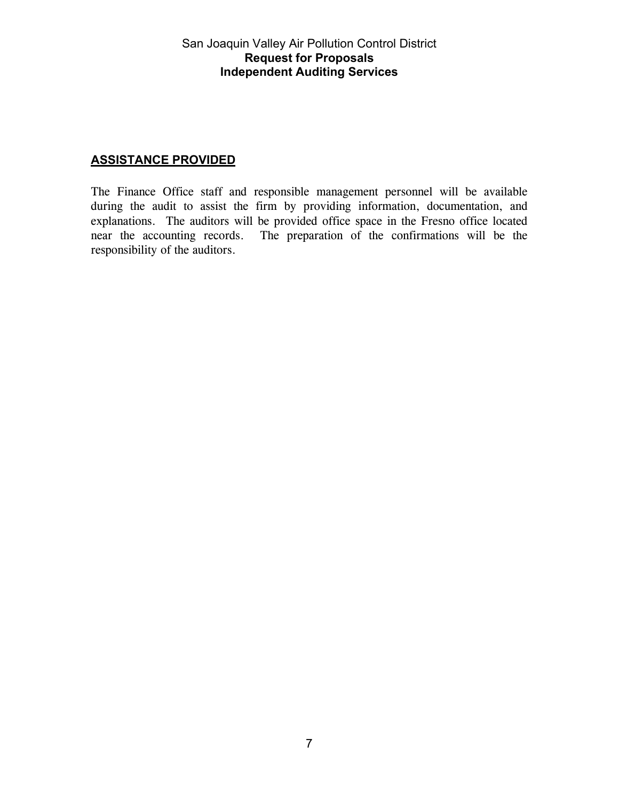### **ASSISTANCE PROVIDED**

The Finance Office staff and responsible management personnel will be available during the audit to assist the firm by providing information, documentation, and explanations. The auditors will be provided office space in the Fresno office located near the accounting records. The preparation of the confirmations will be the responsibility of the auditors.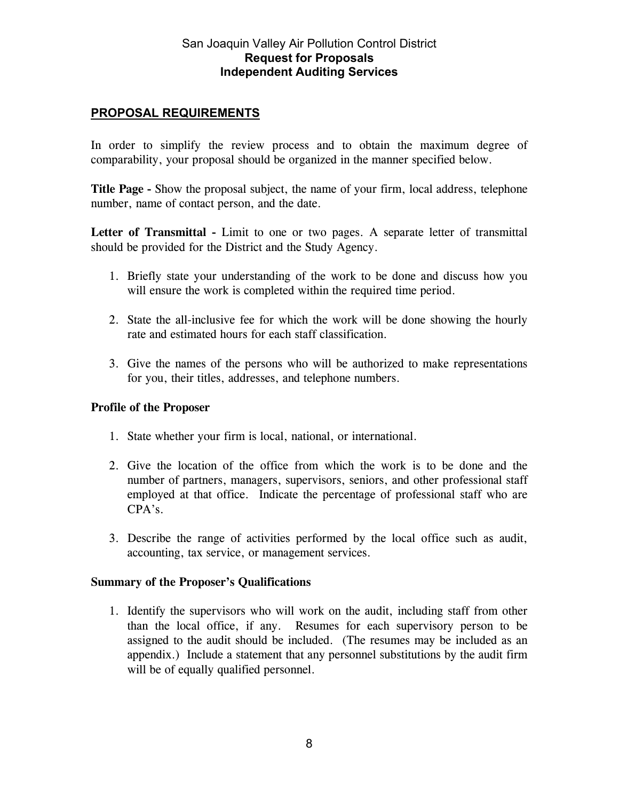### **PROPOSAL REQUIREMENTS**

In order to simplify the review process and to obtain the maximum degree of comparability, your proposal should be organized in the manner specified below.

**Title Page -** Show the proposal subject, the name of your firm, local address, telephone number, name of contact person, and the date.

Letter of Transmittal - Limit to one or two pages. A separate letter of transmittal should be provided for the District and the Study Agency.

- 1. Briefly state your understanding of the work to be done and discuss how you will ensure the work is completed within the required time period.
- 2. State the all-inclusive fee for which the work will be done showing the hourly rate and estimated hours for each staff classification.
- 3. Give the names of the persons who will be authorized to make representations for you, their titles, addresses, and telephone numbers.

#### **Profile of the Proposer**

- 1. State whether your firm is local, national, or international.
- 2. Give the location of the office from which the work is to be done and the number of partners, managers, supervisors, seniors, and other professional staff employed at that office. Indicate the percentage of professional staff who are CPA's.
- 3. Describe the range of activities performed by the local office such as audit, accounting, tax service, or management services.

#### **Summary of the Proposer's Qualifications**

1. Identify the supervisors who will work on the audit, including staff from other than the local office, if any. Resumes for each supervisory person to be assigned to the audit should be included. (The resumes may be included as an appendix.) Include a statement that any personnel substitutions by the audit firm will be of equally qualified personnel.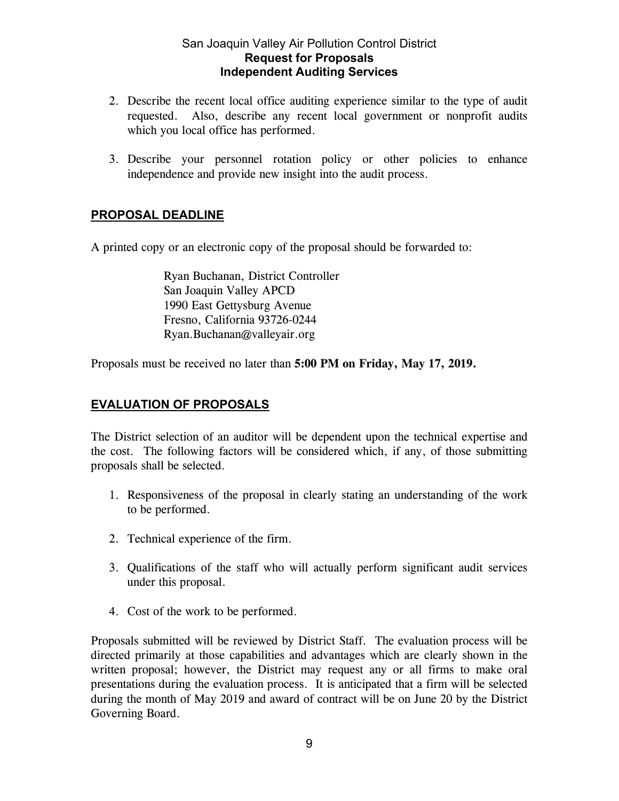- 2. Describe the recent local office auditing experience similar to the type of audit requested. Also, describe any recent local government or nonprofit audits which you local office has performed.
- 3. Describe your personnel rotation policy or other policies to enhance independence and provide new insight into the audit process.

## **PROPOSAL DEADLINE**

A printed copy or an electronic copy of the proposal should be forwarded to:

 Ryan Buchanan, District Controller San Joaquin Valley APCD 1990 East Gettysburg Avenue Fresno, California 93726-0244 Ryan.Buchanan@valleyair.org

Proposals must be received no later than **5:00 PM on Friday, May 17, 2019.** 

# **EVALUATION OF PROPOSALS**

The District selection of an auditor will be dependent upon the technical expertise and the cost. The following factors will be considered which, if any, of those submitting proposals shall be selected.

- 1. Responsiveness of the proposal in clearly stating an understanding of the work to be performed.
- 2. Technical experience of the firm.
- 3. Qualifications of the staff who will actually perform significant audit services under this proposal.
- 4. Cost of the work to be performed.

Proposals submitted will be reviewed by District Staff. The evaluation process will be directed primarily at those capabilities and advantages which are clearly shown in the written proposal; however, the District may request any or all firms to make oral presentations during the evaluation process. It is anticipated that a firm will be selected during the month of May 2019 and award of contract will be on June 20 by the District Governing Board.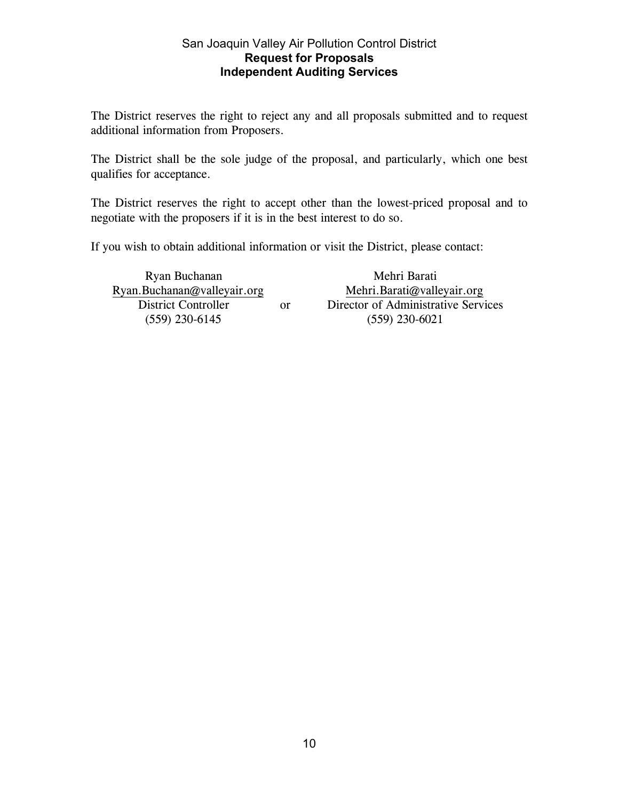The District reserves the right to reject any and all proposals submitted and to request additional information from Proposers.

The District shall be the sole judge of the proposal, and particularly, which one best qualifies for acceptance.

The District reserves the right to accept other than the lowest-priced proposal and to negotiate with the proposers if it is in the best interest to do so.

If you wish to obtain additional information or visit the District, please contact:

Ryan.Buchanan@valleyair.org<br>District Controller (559) 230-6145 (559) 230-6021

Ryan Buchanan<br>Buchanan@valleyair.org Mehri.Barati@valleyair.org Mehri.Barati@valleyair.org or Director of Administrative Services